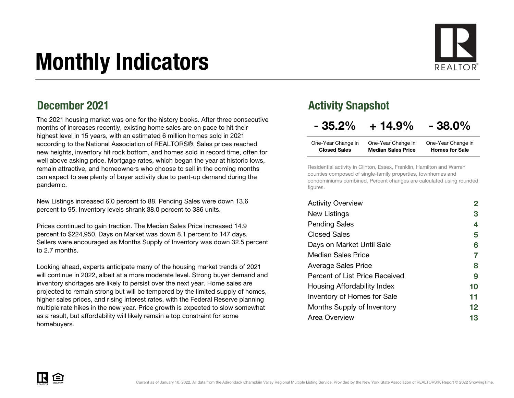# Monthly Indicators

### December 2021

The 2021 housing market was one for the history books. After three consecutive months of increases recently, existing home sales are on pace to hit their highest level in 15 years, with an estimated 6 million homes sold in 2021 according to the National Association of REALTORS®. Sales prices reached new heights, inventory hit rock bottom, and homes sold in record time, often for well above asking price. Mortgage rates, which began the year at historic lows, remain attractive, and homeowners who choose to sell in the coming months can expect to see plenty of buyer activity due to pent-up demand during the pandemic.

New Listings increased 6.0 percent to 88. Pending Sales were down 13.6 percent to 95. Inventory levels shrank 38.0 percent to 386 units.

Prices continued to gain traction. The Median Sales Price increased 14.9 percent to \$224,950. Days on Market was down 8.1 percent to 147 days. Sellers were encouraged as Months Supply of Inventory was down 32.5 percent to 2.7 months.

Looking ahead, experts anticipate many of the housing market trends of 2021 will continue in 2022, albeit at a more moderate level. Strong buyer demand and inventory shortages are likely to persist over the next year. Home sales are projected to remain strong but will be tempered by the limited supply of homes, higher sales prices, and rising interest rates, with the Federal Reserve planning multiple rate hikes in the new year. Price growth is expected to slow somewhat as a result, but affordability will likely remain a top constraint for some homebuyers.

### Activity Snapshot

### $-35.2\% + 14.9\% - 38.0\%$

| One-Year Change in  | One-Year Change in        | One-Year Change in    |
|---------------------|---------------------------|-----------------------|
| <b>Closed Sales</b> | <b>Median Sales Price</b> | <b>Homes for Sale</b> |

Residential activity in Clinton, Essex, Franklin, Hamilton and Warren counties composed of single-family properties, townhomes and condominiums combined. Percent changes are calculated using rounded figures.

| <b>Activity Overview</b>           |                   |
|------------------------------------|-------------------|
| New Listings                       | 3                 |
| <b>Pending Sales</b>               | 4                 |
| <b>Closed Sales</b>                | 5                 |
| Days on Market Until Sale          | 6                 |
| Median Sales Price                 | 7                 |
| <b>Average Sales Price</b>         | 8                 |
| Percent of List Price Received     | 9                 |
| Housing Affordability Index        | 10                |
| <b>Inventory of Homes for Sale</b> | 11                |
| Months Supply of Inventory         | $12 \ \mathsf{ }$ |
| Area Overview                      | 13                |

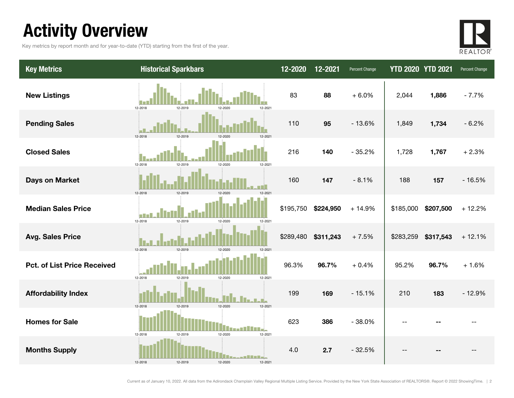# Activity Overview

Key metrics by report month and for year-to-date (YTD) starting from the first of the year.



| <b>Key Metrics</b>                 | <b>Historical Sparkbars</b>              | $12 - 2020$ | 12-2021   | Percent Change | <b>YTD 2020 YTD 2021</b> |           | Percent Change |
|------------------------------------|------------------------------------------|-------------|-----------|----------------|--------------------------|-----------|----------------|
| <b>New Listings</b>                | 12-2018<br>12-2021<br>12-2019<br>12-2020 | 83          | 88        | $+6.0%$        | 2,044                    | 1,886     | $-7.7%$        |
| <b>Pending Sales</b>               | 12-2019<br>12-2018<br>12-2020            | 110         | 95        | $-13.6%$       | 1,849                    | 1,734     | $-6.2%$        |
| <b>Closed Sales</b>                | 12-2018<br>12-2019<br>12-2021<br>12-2020 | 216         | 140       | $-35.2%$       | 1,728                    | 1,767     | $+2.3%$        |
| <b>Days on Market</b>              | 12-2019<br>12-2018<br>12-2020            | 160         | 147       | $-8.1%$        | 188                      | 157       | $-16.5%$       |
| <b>Median Sales Price</b>          | 12-2019<br>12-2018<br>12-2020<br>12-2021 | \$195,750   | \$224,950 | $+14.9%$       | \$185,000                | \$207,500 | $+12.2%$       |
| <b>Avg. Sales Price</b>            | 12-2018<br>12-2019<br>12-2020<br>12-2021 | \$289,480   | \$311,243 | $+7.5%$        | \$283,259                | \$317,543 | $+12.1%$       |
| <b>Pct. of List Price Received</b> | 12-2018<br>12-2019<br>12-2020<br>12-2021 | 96.3%       | 96.7%     | $+0.4%$        | 95.2%                    | 96.7%     | $+1.6%$        |
| <b>Affordability Index</b>         | 12-2020<br>12-2018<br>12-2019<br>12-2021 | 199         | 169       | $-15.1%$       | 210                      | 183       | $-12.9%$       |
| <b>Homes for Sale</b>              | 12-2018<br>12-2019<br>12-2020<br>12-2021 | 623         | 386       | $-38.0%$       | $\overline{\phantom{a}}$ |           |                |
| <b>Months Supply</b>               | 12-2018<br>12-2019<br>12-2020<br>12-2021 | 4.0         | 2.7       | $-32.5%$       |                          |           |                |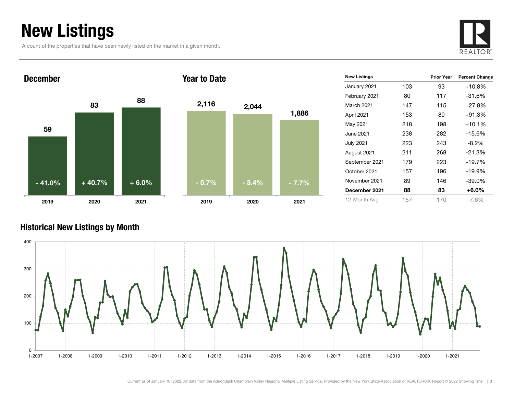# New Listings

A count of the properties that have been newly listed on the market in a given month.





| <b>New Listings</b> |     | <b>Prior Year</b> | <b>Percent Change</b> |
|---------------------|-----|-------------------|-----------------------|
| January 2021        | 103 | 93                | $+10.8%$              |
| February 2021       | 80  | 117               | $-31.6%$              |
| March 2021          | 147 | 115               | $+27.8%$              |
| April 2021          | 153 | 80                | $+91.3%$              |
| May 2021            | 218 | 198               | $+10.1%$              |
| June 2021           | 238 | 282               | $-15.6%$              |
| <b>July 2021</b>    | 223 | 243               | $-8.2\%$              |
| August 2021         | 211 | 268               | $-21.3%$              |
| September 2021      | 179 | 223               | $-19.7%$              |
| October 2021        | 157 | 196               | $-19.9%$              |
| November 2021       | 89  | 146               | $-39.0\%$             |
| December 2021       | 88  | 83                | $+6.0\%$              |
| 12-Month Avg        | 157 | 170               | -7.6%                 |

### Historical New Listings by Month

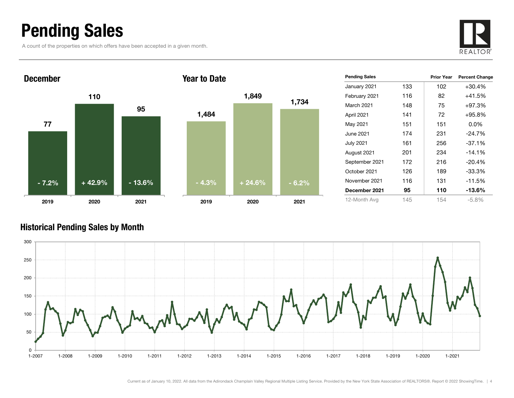### Pending Sales

A count of the properties on which offers have been accepted in a given month.





| <b>Pending Sales</b> |     | <b>Prior Year</b> | <b>Percent Change</b> |
|----------------------|-----|-------------------|-----------------------|
| January 2021         | 133 | 102               | $+30.4%$              |
| February 2021        | 116 | 82                | $+41.5%$              |
| <b>March 2021</b>    | 148 | 75                | $+97.3%$              |
| April 2021           | 141 | 72                | $+95.8%$              |
| May 2021             | 151 | 151               | $0.0\%$               |
| June 2021            | 174 | 231               | $-24.7%$              |
| <b>July 2021</b>     | 161 | 256               | $-37.1%$              |
| August 2021          | 201 | 234               | $-14.1%$              |
| September 2021       | 172 | 216               | $-20.4%$              |
| October 2021         | 126 | 189               | $-33.3\%$             |
| November 2021        | 116 | 131               | -11.5%                |
| December 2021        | 95  | 110               | -13.6%                |
| 12-Month Avg         | 145 | 154               | $-5.8%$               |

### Historical Pending Sales by Month

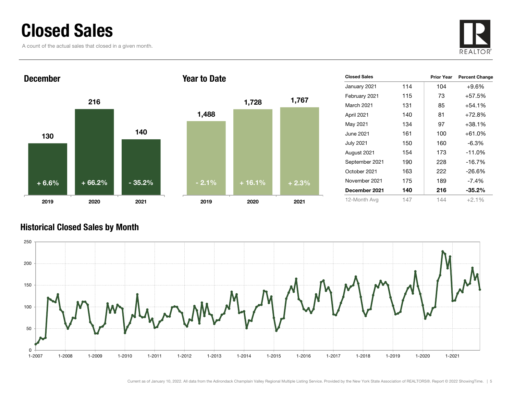### Closed Sales

A count of the actual sales that closed in a given month.





| <b>Closed Sales</b> |     | <b>Prior Year</b> | <b>Percent Change</b> |
|---------------------|-----|-------------------|-----------------------|
| January 2021        | 114 | 104               | $+9.6%$               |
| February 2021       | 115 | 73                | $+57.5%$              |
| March 2021          | 131 | 85                | +54.1%                |
| April 2021          | 140 | 81                | $+72.8\%$             |
| May 2021            | 134 | 97                | +38.1%                |
| June 2021           | 161 | 100               | +61.0%                |
| <b>July 2021</b>    | 150 | 160               | -6.3%                 |
| August 2021         | 154 | 173               | $-11.0%$              |
| September 2021      | 190 | 228               | $-16.7%$              |
| October 2021        | 163 | 222               | -26.6%                |
| November 2021       | 175 | 189               | -7.4%                 |
| December 2021       | 140 | 216               | $-35.2\%$             |
| 12-Month Avg        | 147 | 144               | $+2.1%$               |

### Historical Closed Sales by Month

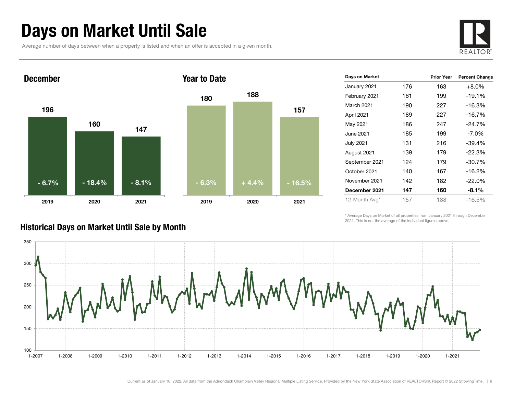# Days on Market Until Sale

Average number of days between when a property is listed and when an offer is accepted in a given month.





| Days on Market   |     | <b>Prior Year</b> | <b>Percent Change</b> |
|------------------|-----|-------------------|-----------------------|
| January 2021     | 176 | 163               | $+8.0%$               |
| February 2021    | 161 | 199               | $-19.1%$              |
| March 2021       | 190 | 227               | $-16.3%$              |
| April 2021       | 189 | 227               | $-16.7%$              |
| May 2021         | 186 | 247               | $-24.7%$              |
| June 2021        | 185 | 199               | $-7.0\%$              |
| <b>July 2021</b> | 131 | 216               | -39.4%                |
| August 2021      | 139 | 179               | $-22.3%$              |
| September 2021   | 124 | 179               | $-30.7%$              |
| October 2021     | 140 | 167               | $-16.2%$              |
| November 2021    | 142 | 182               | $-22.0%$              |
| December 2021    | 147 | 160               | $-8.1\%$              |
| 12-Month Avg*    | 157 | 188               | $-16.5\%$             |

\* Average Days on Market of all properties from January 2021 through December 2021. This is not the average of the individual figures above.



### Historical Days on Market Until Sale by Month

Current as of January 10, 2022. All data from the Adirondack Champlain Valley Regional Multiple Listing Service. Provided by the New York State Association of REALTORS®. Report © 2022 ShowingTime. | 6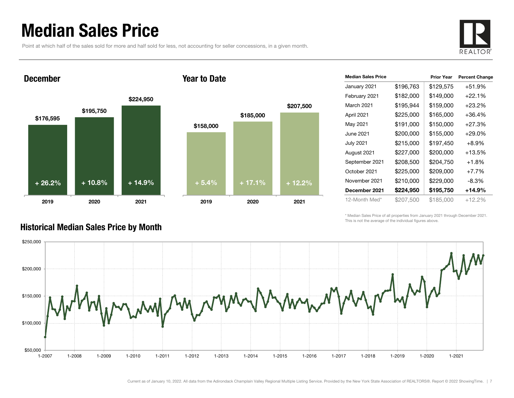### Median Sales Price

Point at which half of the sales sold for more and half sold for less, not accounting for seller concessions, in a given month.



#### December





| <b>Median Sales Price</b> |           | <b>Prior Year</b> | <b>Percent Change</b> |
|---------------------------|-----------|-------------------|-----------------------|
| January 2021              | \$196,763 | \$129,575         | $+51.9%$              |
| February 2021             | \$182,000 | \$149,000         | $+22.1%$              |
| March 2021                | \$195,944 | \$159,000         | $+23.2\%$             |
| April 2021                | \$225,000 | \$165,000         | $+36.4%$              |
| May 2021                  | \$191,000 | \$150,000         | $+27.3%$              |
| June 2021                 | \$200,000 | \$155,000         | $+29.0\%$             |
| <b>July 2021</b>          | \$215,000 | \$197,450         | $+8.9\%$              |
| August 2021               | \$227,000 | \$200,000         | +13.5%                |
| September 2021            | \$208,500 | \$204,750         | +1.8%                 |
| October 2021              | \$225,000 | \$209,000         | $+7.7%$               |
| November 2021             | \$210,000 | \$229,000         | -8.3%                 |
| December 2021             | \$224,950 | \$195,750         | +14.9%                |
| 12-Month Med*             | \$207,500 | \$185,000         | $+12.2%$              |

\* Median Sales Price of all properties from January 2021 through December 2021. This is not the average of the individual figures above.



### Historical Median Sales Price by Month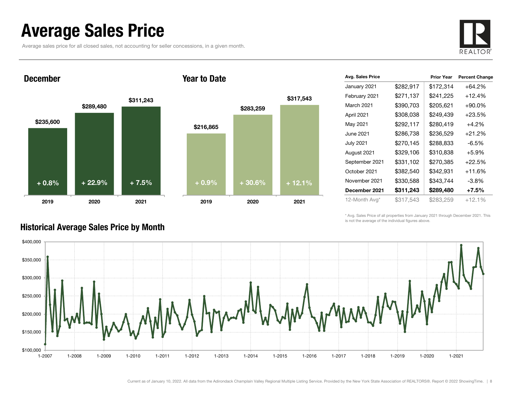### Average Sales Price

Average sales price for all closed sales, not accounting for seller concessions, in a given month.



December



#### Year to Date



| Avg. Sales Price |           | <b>Prior Year</b> | <b>Percent Change</b> |
|------------------|-----------|-------------------|-----------------------|
| January 2021     | \$282,917 | \$172,314         | +64.2%                |
| February 2021    | \$271,137 | \$241,225         | $+12.4%$              |
| March 2021       | \$390,703 | \$205,621         | $+90.0\%$             |
| April 2021       | \$308,038 | \$249,439         | +23.5%                |
| May 2021         | \$292,117 | \$280,419         | $+4.2%$               |
| June 2021        | \$286,738 | \$236,529         | $+21.2%$              |
| <b>July 2021</b> | \$270,145 | \$288,833         | $-6.5%$               |
| August 2021      | \$329,106 | \$310,838         | $+5.9%$               |
| September 2021   | \$331,102 | \$270,385         | $+22.5%$              |
| October 2021     | \$382,540 | \$342,931         | +11.6%                |
| November 2021    | \$330,588 | \$343,744         | $-3.8%$               |
| December 2021    | \$311,243 | \$289,480         | $+7.5\%$              |
| 12-Month Avg*    | \$317,543 | \$283,259         | $+12.1%$              |

\* Avg. Sales Price of all properties from January 2021 through December 2021. This is not the average of the individual figures above.



### Historical Average Sales Price by Month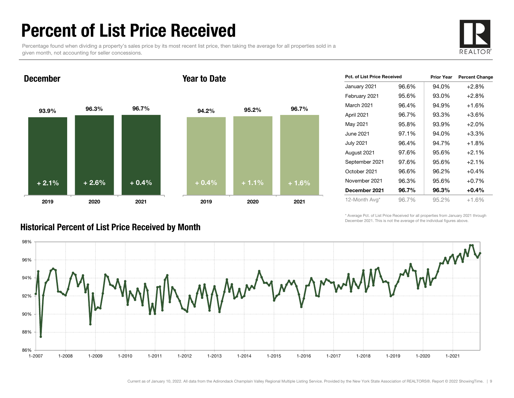### Percent of List Price Received

Percentage found when dividing a property's sales price by its most recent list price, then taking the average for all properties sold in a given month, not accounting for seller concessions.



December

#### Year to Date



| Pct. of List Price Received |       | <b>Prior Year</b> | <b>Percent Change</b> |
|-----------------------------|-------|-------------------|-----------------------|
| January 2021                | 96.6% | 94.0%             | $+2.8%$               |
| February 2021               | 95.6% | 93.0%             | $+2.8%$               |
| March 2021                  | 96.4% | 94.9%             | $+1.6%$               |
| April 2021                  | 96.7% | 93.3%             | $+3.6%$               |
| May 2021                    | 95.8% | 93.9%             | $+2.0%$               |
| June 2021                   | 97.1% | 94.0%             | $+3.3%$               |
| July 2021                   | 96.4% | 94.7%             | $+1.8%$               |
| August 2021                 | 97.6% | 95.6%             | $+2.1%$               |
| September 2021              | 97.6% | 95.6%             | $+2.1%$               |
| October 2021                | 96.6% | 96.2%             | $+0.4%$               |
| November 2021               | 96.3% | 95.6%             | $+0.7%$               |
| December 2021               | 96.7% | 96.3%             | $+0.4%$               |
| 12-Month Avg*               | 96.7% | 95.2%             | $+1.6%$               |

\* Average Pct. of List Price Received for all properties from January 2021 through December 2021. This is not the average of the individual figures above.



### Historical Percent of List Price Received by Month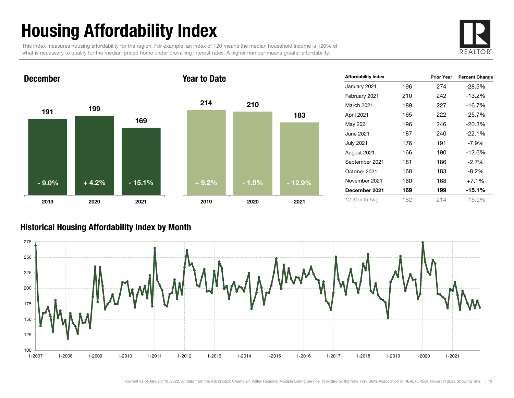# Housing Affordability Index

This index measures housing affordability for the region. For example, an index of 120 means the median household income is 120% of what is necessary to qualify for the median-priced home under prevailing interest rates. A higher number means greater affordability.



#### 191 <sup>199</sup> 1692019 2020 2021 December214 2101832019 2020 2021 Year to Date- 9.0% $\%$  | +4.2% - 15.1% + 9.2% - 1.9% - 12.9%

| <b>Affordability Index</b> |     | <b>Prior Year</b> | <b>Percent Change</b> |
|----------------------------|-----|-------------------|-----------------------|
| January 2021               | 196 | 274               | $-28.5%$              |
| February 2021              | 210 | 242               | $-13.2%$              |
| <b>March 2021</b>          | 189 | 227               | $-16.7%$              |
| April 2021                 | 165 | 222               | $-25.7%$              |
| May 2021                   | 196 | 246               | $-20.3%$              |
| June 2021                  | 187 | 240               | $-22.1%$              |
| July 2021                  | 176 | 191               | $-7.9\%$              |
| August 2021                | 166 | 190               | $-12.6%$              |
| September 2021             | 181 | 186               | $-2.7%$               |
| October 2021               | 168 | 183               | $-8.2%$               |
| November 2021              | 180 | 168               | $+7.1%$               |
| December 2021              | 169 | 199               | $-15.1%$              |
| 12-Month Avg               | 182 | 214               | $-15.0%$              |

### Historical Housing Affordability Index by Mont h

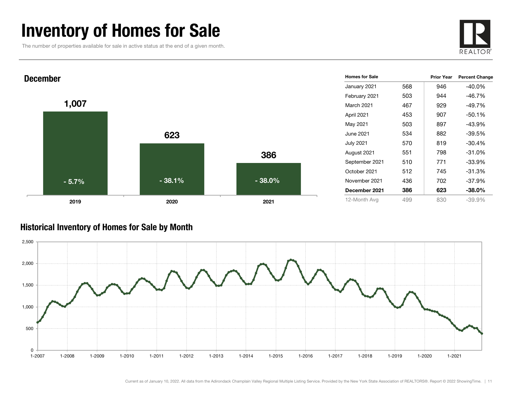### Inventory of Homes for Sale

The number of properties available for sale in active status at the end of a given month.





#### Historical Inventory of Homes for Sale by Month

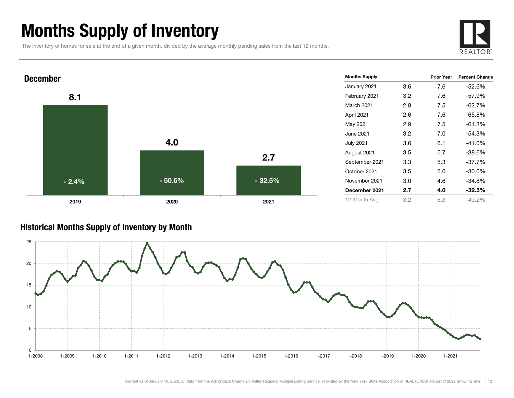# Months Supply of Inventory

The inventory of homes for sale at the end of a given month, divided by the average monthly pending sales from the last 12 months.





#### Historical Months Supply of Inventory by Month